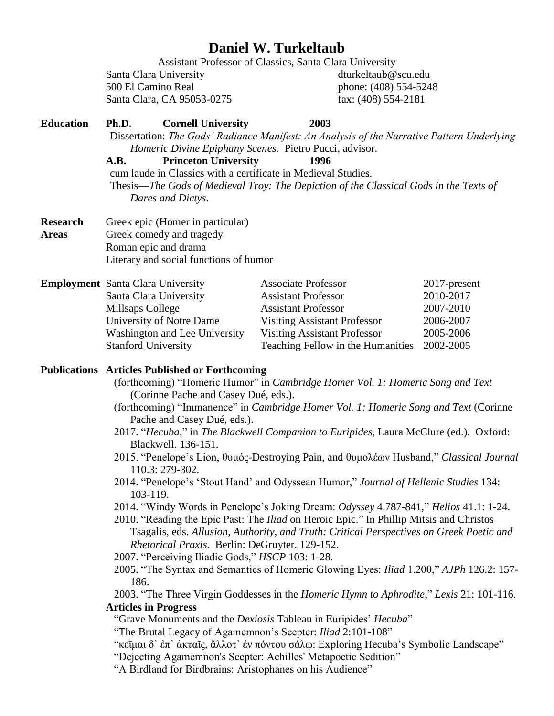# **Daniel W. Turkeltaub**

Assistant Professor of Classics, Santa Clara University Santa Clara University dturkeltaub@scu.edu 500 El Camino Real phone: (408) 554-5248 Santa Clara, CA 95053-0275 fax: (408) 554-2181

## **Education Ph.D. Cornell University 2003**

Dissertation: *The Gods' Radiance Manifest: An Analysis of the Narrative Pattern Underlying Homeric Divine Epiphany Scenes.* Pietro Pucci, advisor.

#### **A.B. Princeton University 1996**

cum laude in Classics with a certificate in Medieval Studies. Thesis—*The Gods of Medieval Troy: The Depiction of the Classical Gods in the Texts of Dares and Dictys*.

**Research** Greek epic (Homer in particular) **Areas** Greek comedy and tragedy Roman epic and drama Literary and social functions of humor

| <b>Employment</b> Santa Clara University | <b>Associate Professor</b>          | 2017-present |
|------------------------------------------|-------------------------------------|--------------|
| Santa Clara University                   | <b>Assistant Professor</b>          | 2010-2017    |
| Millsaps College                         | <b>Assistant Professor</b>          | 2007-2010    |
| University of Notre Dame                 | <b>Visiting Assistant Professor</b> | 2006-2007    |
| Washington and Lee University            | <b>Visiting Assistant Professor</b> | 2005-2006    |
| <b>Stanford University</b>               | Teaching Fellow in the Humanities   | 2002-2005    |

### **Publications Articles Published or Forthcoming**

- (forthcoming) "Homeric Humor" in *Cambridge Homer Vol. 1: Homeric Song and Text*  (Corinne Pache and Casey Dué, eds.).
- (forthcoming) "Immanence" in *Cambridge Homer Vol. 1: Homeric Song and Text* (Corinne Pache and Casey Dué, eds.).
- 2017. "*Hecuba*," in *The Blackwell Companion to Euripides*, Laura McClure (ed.). Oxford: Blackwell. 136-151.
- 2015. "Penelope's Lion, θυμός-Destroying Pain, and θυμολέων Husband," *Classical Journal* 110.3: 279-302.
- 2014. "Penelope's 'Stout Hand' and Odyssean Humor," *Journal of Hellenic Studies* 134: 103-119.
- 2014. "Windy Words in Penelope's Joking Dream: *Odyssey* 4.787-841," *Helios* 41.1: 1-24.
- 2010. "Reading the Epic Past: The *Iliad* on Heroic Epic." In Phillip Mitsis and Christos Tsagalis, eds. *Allusion, Authority, and Truth: Critical Perspectives on Greek Poetic and Rhetorical Praxis*. Berlin: DeGruyter. 129-152.
- 2007. "Perceiving Iliadic Gods," *HSCP* 103: 1-28.
- 2005. "The Syntax and Semantics of Homeric Glowing Eyes: *Iliad* 1.200," *AJPh* 126.2: 157- 186.

2003. "The Three Virgin Goddesses in the *Homeric Hymn to Aphrodite*," *Lexis* 21: 101-116. **Articles in Progress**

"Grave Monuments and the *Dexiosis* Tableau in Euripides' *Hecuba*"

"The Brutal Legacy of Agamemnon's Scepter: *Iliad* 2:101-108"

"κεῖμαι δ᾽ ἐπ᾽ ἀκταῖς, ἄλλοτ᾽ ἐν πόντου σάλῳ: Exploring Hecuba's Symbolic Landscape"

"Dejecting Agamemnon's Scepter: Achilles' Metapoetic Sedition"

"A Birdland for Birdbrains: Aristophanes on his Audience"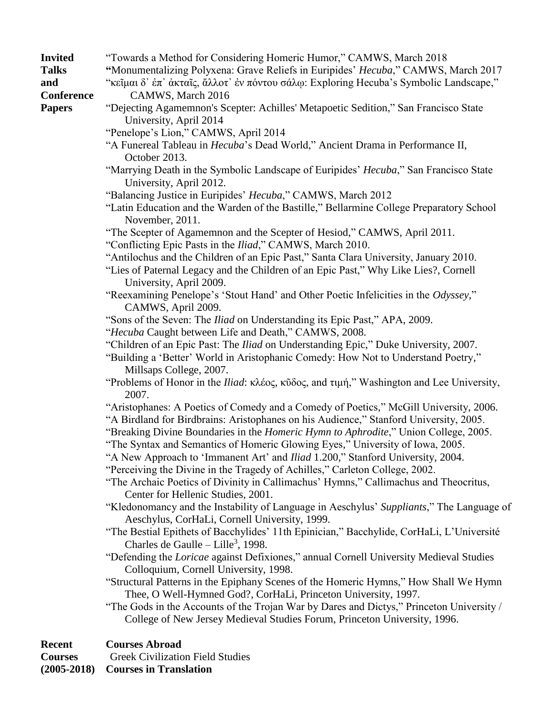- **Invited** "Towards a Method for Considering Homeric Humor," CAMWS, March 2018
- **Talks "**Monumentalizing Polyxena: Grave Reliefs in Euripides' *Hecuba*," CAMWS, March 2017
- **and** "κεῖμαι δ᾽ ἐπ᾽ ἀκταῖς, ἄλλοτ᾽ ἐν πόντου σάλῳ: Exploring Hecuba's Symbolic Landscape," **Conference** CAMWS, March 2016
- 
- **Papers** "Dejecting Agamemnon's Scepter: Achilles' Metapoetic Sedition," San Francisco State University, April 2014
	- "Penelope's Lion," CAMWS, April 2014
	- "A Funereal Tableau in *Hecuba*'s Dead World," Ancient Drama in Performance II, October 2013.
	- "Marrying Death in the Symbolic Landscape of Euripides' *Hecuba*," San Francisco State University, April 2012.
	- "Balancing Justice in Euripides' *Hecuba*," CAMWS, March 2012
	- "Latin Education and the Warden of the Bastille," Bellarmine College Preparatory School November, 2011.
	- "The Scepter of Agamemnon and the Scepter of Hesiod," CAMWS, April 2011.
	- "Conflicting Epic Pasts in the *Iliad*," CAMWS, March 2010.
	- "Antilochus and the Children of an Epic Past," Santa Clara University, January 2010.
	- "Lies of Paternal Legacy and the Children of an Epic Past," Why Like Lies?, Cornell University, April 2009.
	- "Reexamining Penelope's 'Stout Hand' and Other Poetic Infelicities in the *Odyssey,*" CAMWS, April 2009.
	- "Sons of the Seven: The *Iliad* on Understanding its Epic Past," APA, 2009.
	- "*Hecuba* Caught between Life and Death," CAMWS, 2008.
	- "Children of an Epic Past: The *Iliad* on Understanding Epic," Duke University, 2007.
	- "Building a 'Better' World in Aristophanic Comedy: How Not to Understand Poetry," Millsaps College, 2007.
	- "Problems of Honor in the *Iliad*: κλέος, κῦδος, and τιμή," Washington and Lee University, 2007.
	- "Aristophanes: A Poetics of Comedy and a Comedy of Poetics," McGill University, 2006.
	- "A Birdland for Birdbrains: Aristophanes on his Audience," Stanford University, 2005.
	- "Breaking Divine Boundaries in the *Homeric Hymn to Aphrodite*," Union College, 2005.
	- "The Syntax and Semantics of Homeric Glowing Eyes," University of Iowa, 2005.
	- "A New Approach to 'Immanent Art' and *Iliad* 1.200," Stanford University, 2004.
	- "Perceiving the Divine in the Tragedy of Achilles," Carleton College, 2002.
	- "The Archaic Poetics of Divinity in Callimachus' Hymns," Callimachus and Theocritus, Center for Hellenic Studies, 2001.
	- "Kledonomancy and the Instability of Language in Aeschylus' *Suppliants*," The Language of Aeschylus, CorHaLi, Cornell University, 1999.
	- "The Bestial Epithets of Bacchylides' 11th Epinician," Bacchylide, CorHaLi, L'Université Charles de Gaulle – Lille<sup>3</sup>, 1998.
	- "Defending the *Loricae* against Defixiones," annual Cornell University Medieval Studies Colloquium, Cornell University, 1998.
	- "Structural Patterns in the Epiphany Scenes of the Homeric Hymns," How Shall We Hymn Thee, O Well-Hymned God?, CorHaLi, Princeton University, 1997.
	- "The Gods in the Accounts of the Trojan War by Dares and Dictys," Princeton University / College of New Jersey Medieval Studies Forum, Princeton University, 1996.

### **Recent Courses Abroad**

**Courses** Greek Civilization Field Studies

**(2005-2018) Courses in Translation**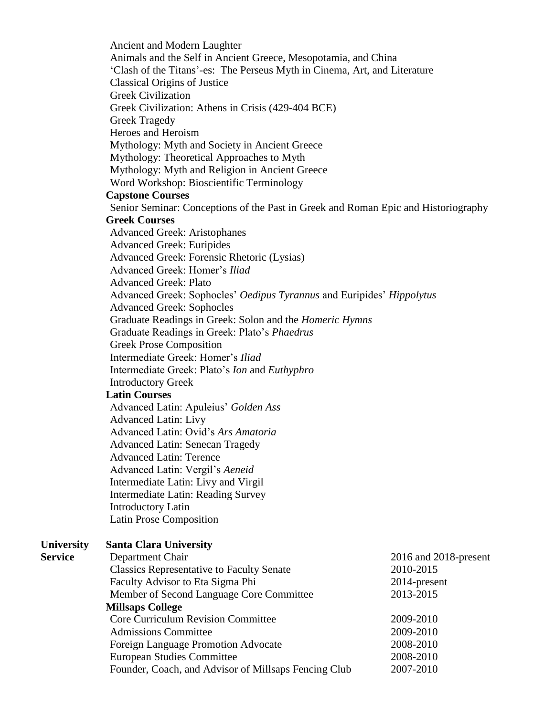Ancient and Modern Laughter Animals and the Self in Ancient Greece, Mesopotamia, and China 'Clash of the Titans'-es: The Perseus Myth in Cinema, Art, and Literature Classical Origins of Justice Greek Civilization Greek Civilization: Athens in Crisis (429-404 BCE) Greek Tragedy Heroes and Heroism Mythology: Myth and Society in Ancient Greece Mythology: Theoretical Approaches to Myth Mythology: Myth and Religion in Ancient Greece Word Workshop: Bioscientific Terminology **Capstone Courses** Senior Seminar: Conceptions of the Past in Greek and Roman Epic and Historiography **Greek Courses** Advanced Greek: Aristophanes Advanced Greek: Euripides Advanced Greek: Forensic Rhetoric (Lysias) Advanced Greek: Homer's *Iliad* Advanced Greek: Plato Advanced Greek: Sophocles' *Oedipus Tyrannus* and Euripides' *Hippolytus* Advanced Greek: Sophocles Graduate Readings in Greek: Solon and the *Homeric Hymns* Graduate Readings in Greek: Plato's *Phaedrus* Greek Prose Composition Intermediate Greek: Homer's *Iliad* Intermediate Greek: Plato's *Ion* and *Euthyphro* Introductory Greek **Latin Courses** Advanced Latin: Apuleius' *Golden Ass* Advanced Latin: Livy Advanced Latin: Ovid's *Ars Amatoria* Advanced Latin: Senecan Tragedy Advanced Latin: Terence Advanced Latin: Vergil's *Aeneid* Intermediate Latin: Livy and Virgil Intermediate Latin: Reading Survey Introductory Latin Latin Prose Composition **University Santa Clara University Service** Department Chair 2016 and 2018-present Classics Representative to Faculty Senate 2010-2015 Faculty Advisor to Eta Sigma Phi 2014-present Member of Second Language Core Committee 2013-2015 **Millsaps College** Core Curriculum Revision Committee 2009-2010 Admissions Committee 2009-2010 Foreign Language Promotion Advocate 2008-2010 European Studies Committee 2008-2010 Founder, Coach, and Advisor of Millsaps Fencing Club 2007-2010